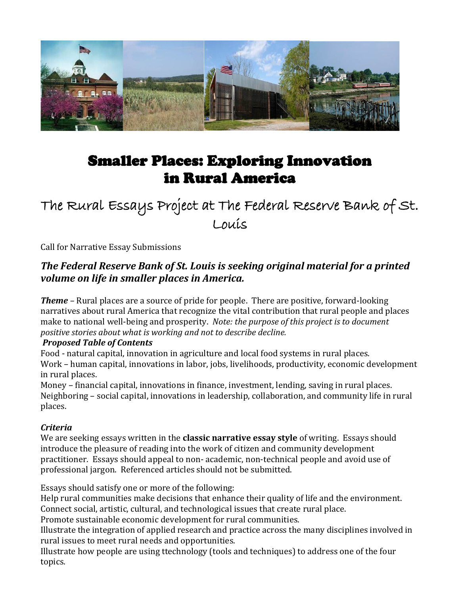

# Smaller Places: Exploring Innovation in Rural America

The Rural Essays Project at The Federal Reserve Bank of St. Louis

Call for Narrative Essay Submissions

# *The Federal Reserve Bank of St. Louis is seeking original material for a printed volume on life in smaller places in America.*

*Theme –* Rural places are a source of pride for people. There are positive, forward-looking narratives about rural America that recognize the vital contribution that rural people and places make to national well-being and prosperity. *Note: the purpose of this project is to document positive stories about what is working and not to describe decline.*

#### *Proposed Table of Contents*

Food - natural capital, innovation in agriculture and local food systems in rural places. Work – human capital, innovations in labor, jobs, livelihoods, productivity, economic development in rural places.

Money – financial capital, innovations in finance, investment, lending, saving in rural places. Neighboring – social capital, innovations in leadership, collaboration, and community life in rural places.

## *Criteria*

We are seeking essays written in the **classic narrative essay style** of writing. Essays should introduce the pleasure of reading into the work of citizen and community development practitioner. Essays should appeal to non- academic, non-technical people and avoid use of professional jargon. Referenced articles should not be submitted.

Essays should satisfy one or more of the following:

Help rural communities make decisions that enhance their quality of life and the environment. Connect social, artistic, cultural, and technological issues that create rural place.

Promote sustainable economic development for rural communities.

Illustrate the integration of applied research and practice across the many disciplines involved in rural issues to meet rural needs and opportunities.

Illustrate how people are using ttechnology (tools and techniques) to address one of the four topics.